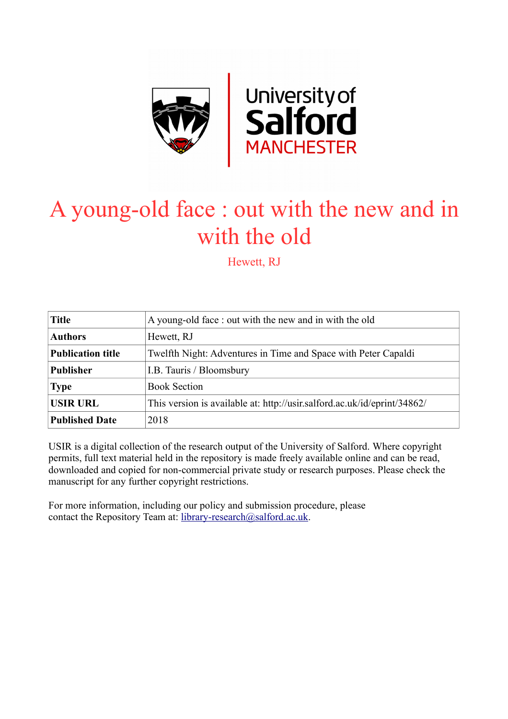

# A young-old face : out with the new and in with the old

Hewett, RJ

| <b>Title</b>             | A young-old face: out with the new and in with the old                   |
|--------------------------|--------------------------------------------------------------------------|
| <b>Authors</b>           | Hewett, RJ                                                               |
| <b>Publication title</b> | Twelfth Night: Adventures in Time and Space with Peter Capaldi           |
| <b>Publisher</b>         | I.B. Tauris / Bloomsbury                                                 |
| <b>Type</b>              | <b>Book Section</b>                                                      |
| <b>USIR URL</b>          | This version is available at: http://usir.salford.ac.uk/id/eprint/34862/ |
| <b>Published Date</b>    | 2018                                                                     |

USIR is a digital collection of the research output of the University of Salford. Where copyright permits, full text material held in the repository is made freely available online and can be read, downloaded and copied for non-commercial private study or research purposes. Please check the manuscript for any further copyright restrictions.

For more information, including our policy and submission procedure, please contact the Repository Team at: [library-research@salford.ac.uk.](mailto:library-research@salford.ac.uk)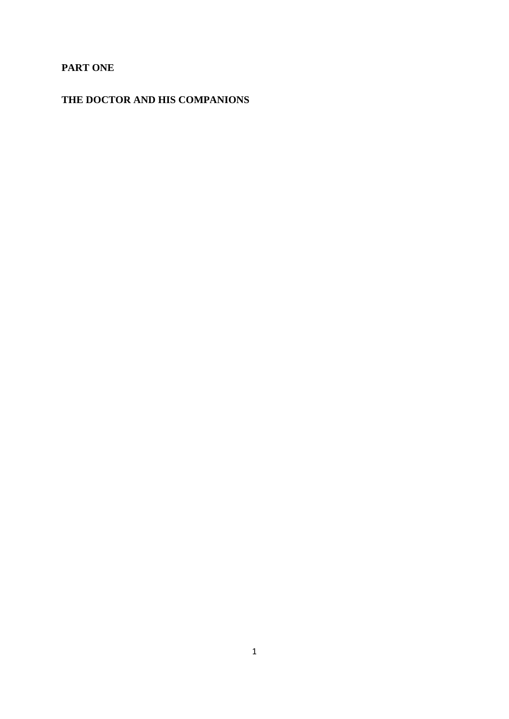## **PART ONE**

# **THE DOCTOR AND HIS COMPANIONS**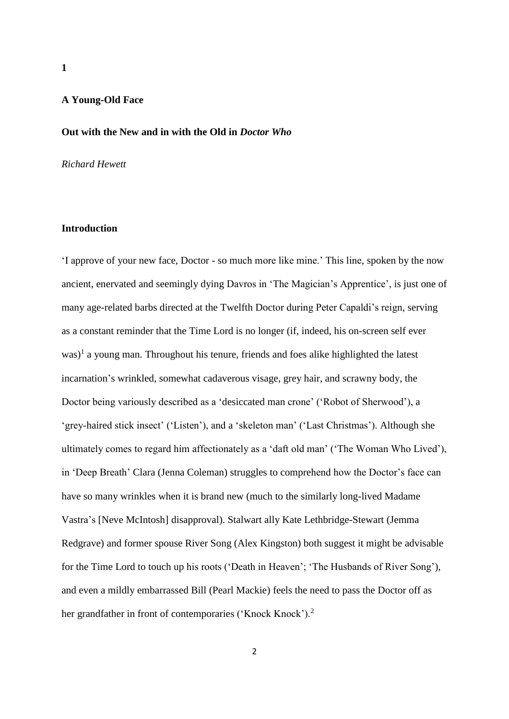## **A Young-Old Face**

#### **Out with the New and in with the Old in** *Doctor Who*

### *Richard Hewett*

#### **Introduction**

'I approve of your new face, Doctor - so much more like mine.' This line, spoken by the now ancient, enervated and seemingly dying Davros in 'The Magician's Apprentice', is just one of many age-related barbs directed at the Twelfth Doctor during Peter Capaldi's reign, serving as a constant reminder that the Time Lord is no longer (if, indeed, his on-screen self ever  $was$ <sup>1</sup> a young man. Throughout his tenure, friends and foes alike highlighted the latest incarnation's wrinkled, somewhat cadaverous visage, grey hair, and scrawny body, the Doctor being variously described as a 'desiccated man crone' ('Robot of Sherwood'), a 'grey-haired stick insect' ('Listen'), and a 'skeleton man' ('Last Christmas'). Although she ultimately comes to regard him affectionately as a 'daft old man' ('The Woman Who Lived'), in 'Deep Breath' Clara (Jenna Coleman) struggles to comprehend how the Doctor's face can have so many wrinkles when it is brand new (much to the similarly long-lived Madame Vastra's [Neve McIntosh] disapproval). Stalwart ally Kate Lethbridge-Stewart (Jemma Redgrave) and former spouse River Song (Alex Kingston) both suggest it might be advisable for the Time Lord to touch up his roots ('Death in Heaven'; 'The Husbands of River Song'), and even a mildly embarrassed Bill (Pearl Mackie) feels the need to pass the Doctor off as her grandfather in front of contemporaries ('Knock Knock').<sup>2</sup>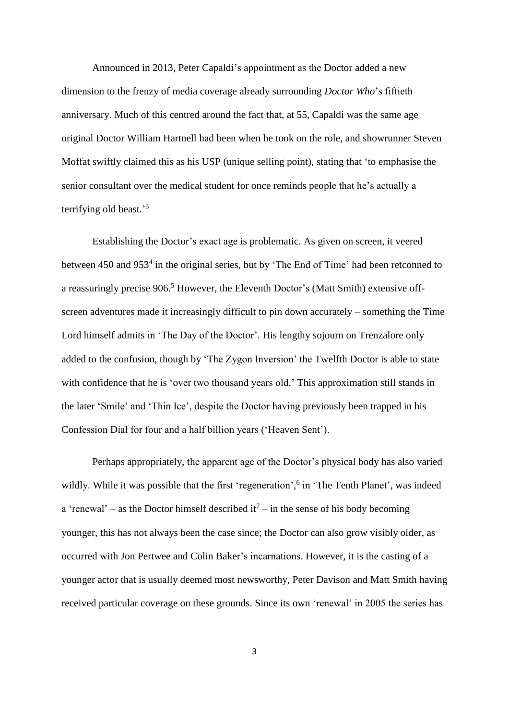Announced in 2013, Peter Capaldi's appointment as the Doctor added a new dimension to the frenzy of media coverage already surrounding *Doctor Who*'s fiftieth anniversary. Much of this centred around the fact that, at 55, Capaldi was the same age original Doctor William Hartnell had been when he took on the role, and showrunner Steven Moffat swiftly claimed this as his USP (unique selling point), stating that 'to emphasise the senior consultant over the medical student for once reminds people that he's actually a terrifying old beast.'<sup>3</sup>

Establishing the Doctor's exact age is problematic. As given on screen, it veered between 450 and 953<sup>4</sup> in the original series, but by 'The End of Time' had been retconned to a reassuringly precise 906.<sup>5</sup> However, the Eleventh Doctor's (Matt Smith) extensive offscreen adventures made it increasingly difficult to pin down accurately – something the Time Lord himself admits in 'The Day of the Doctor'. His lengthy sojourn on Trenzalore only added to the confusion, though by 'The Zygon Inversion' the Twelfth Doctor is able to state with confidence that he is 'over two thousand years old.' This approximation still stands in the later 'Smile' and 'Thin Ice', despite the Doctor having previously been trapped in his Confession Dial for four and a half billion years ('Heaven Sent').

Perhaps appropriately, the apparent age of the Doctor's physical body has also varied wildly. While it was possible that the first 'regeneration',<sup>6</sup> in 'The Tenth Planet', was indeed a 'renewal' – as the Doctor himself described it<sup>7</sup> – in the sense of his body becoming younger, this has not always been the case since; the Doctor can also grow visibly older, as occurred with Jon Pertwee and Colin Baker's incarnations. However, it is the casting of a younger actor that is usually deemed most newsworthy, Peter Davison and Matt Smith having received particular coverage on these grounds. Since its own 'renewal' in 2005 the series has

3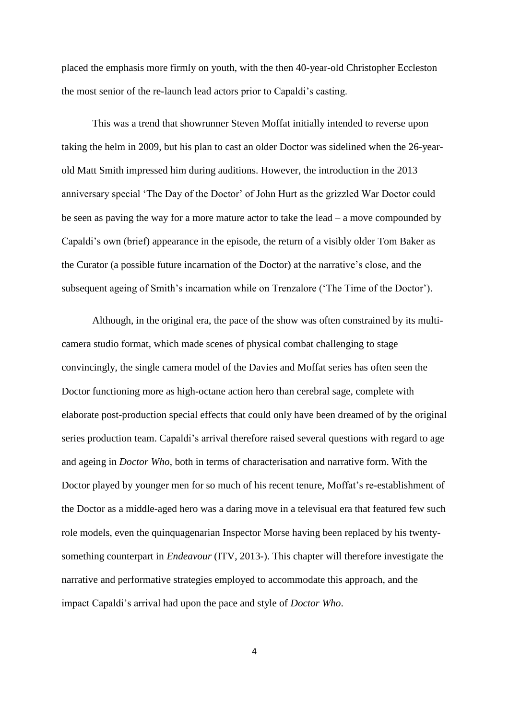placed the emphasis more firmly on youth, with the then 40-year-old Christopher Eccleston the most senior of the re-launch lead actors prior to Capaldi's casting.

This was a trend that showrunner Steven Moffat initially intended to reverse upon taking the helm in 2009, but his plan to cast an older Doctor was sidelined when the 26-yearold Matt Smith impressed him during auditions. However, the introduction in the 2013 anniversary special 'The Day of the Doctor' of John Hurt as the grizzled War Doctor could be seen as paving the way for a more mature actor to take the lead – a move compounded by Capaldi's own (brief) appearance in the episode, the return of a visibly older Tom Baker as the Curator (a possible future incarnation of the Doctor) at the narrative's close, and the subsequent ageing of Smith's incarnation while on Trenzalore ('The Time of the Doctor').

Although, in the original era, the pace of the show was often constrained by its multicamera studio format, which made scenes of physical combat challenging to stage convincingly, the single camera model of the Davies and Moffat series has often seen the Doctor functioning more as high-octane action hero than cerebral sage, complete with elaborate post-production special effects that could only have been dreamed of by the original series production team. Capaldi's arrival therefore raised several questions with regard to age and ageing in *Doctor Who*, both in terms of characterisation and narrative form. With the Doctor played by younger men for so much of his recent tenure, Moffat's re-establishment of the Doctor as a middle-aged hero was a daring move in a televisual era that featured few such role models, even the quinquagenarian Inspector Morse having been replaced by his twentysomething counterpart in *Endeavour* (ITV, 2013-). This chapter will therefore investigate the narrative and performative strategies employed to accommodate this approach, and the impact Capaldi's arrival had upon the pace and style of *Doctor Who*.

4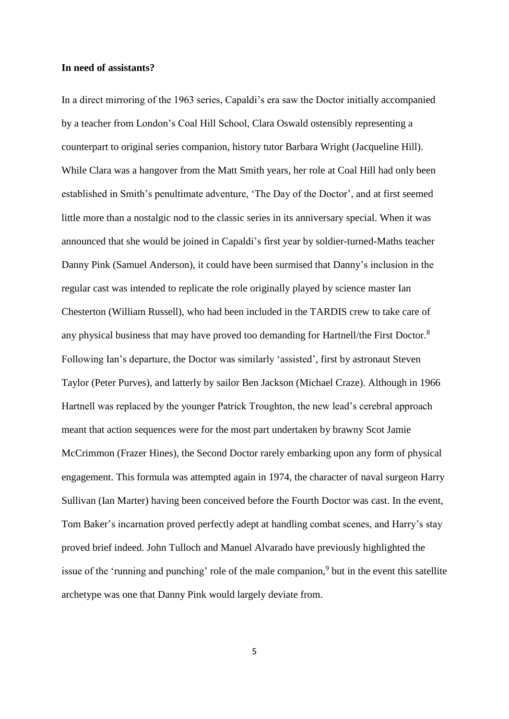#### **In need of assistants?**

In a direct mirroring of the 1963 series, Capaldi's era saw the Doctor initially accompanied by a teacher from London's Coal Hill School, Clara Oswald ostensibly representing a counterpart to original series companion, history tutor Barbara Wright (Jacqueline Hill). While Clara was a hangover from the Matt Smith years, her role at Coal Hill had only been established in Smith's penultimate adventure, 'The Day of the Doctor', and at first seemed little more than a nostalgic nod to the classic series in its anniversary special. When it was announced that she would be joined in Capaldi's first year by soldier-turned-Maths teacher Danny Pink (Samuel Anderson), it could have been surmised that Danny's inclusion in the regular cast was intended to replicate the role originally played by science master Ian Chesterton (William Russell), who had been included in the TARDIS crew to take care of any physical business that may have proved too demanding for Hartnell/the First Doctor.<sup>8</sup> Following Ian's departure, the Doctor was similarly 'assisted', first by astronaut Steven Taylor (Peter Purves), and latterly by sailor Ben Jackson (Michael Craze). Although in 1966 Hartnell was replaced by the younger Patrick Troughton, the new lead's cerebral approach meant that action sequences were for the most part undertaken by brawny Scot Jamie McCrimmon (Frazer Hines), the Second Doctor rarely embarking upon any form of physical engagement. This formula was attempted again in 1974, the character of naval surgeon Harry Sullivan (Ian Marter) having been conceived before the Fourth Doctor was cast. In the event, Tom Baker's incarnation proved perfectly adept at handling combat scenes, and Harry's stay proved brief indeed. John Tulloch and Manuel Alvarado have previously highlighted the issue of the 'running and punching' role of the male companion,<sup>9</sup> but in the event this satellite archetype was one that Danny Pink would largely deviate from.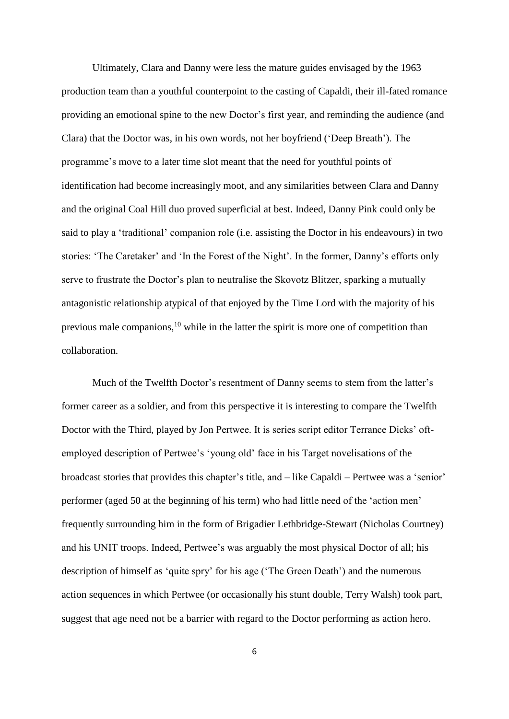Ultimately, Clara and Danny were less the mature guides envisaged by the 1963 production team than a youthful counterpoint to the casting of Capaldi, their ill-fated romance providing an emotional spine to the new Doctor's first year, and reminding the audience (and Clara) that the Doctor was, in his own words, not her boyfriend ('Deep Breath'). The programme's move to a later time slot meant that the need for youthful points of identification had become increasingly moot, and any similarities between Clara and Danny and the original Coal Hill duo proved superficial at best. Indeed, Danny Pink could only be said to play a 'traditional' companion role (i.e. assisting the Doctor in his endeavours) in two stories: 'The Caretaker' and 'In the Forest of the Night'. In the former, Danny's efforts only serve to frustrate the Doctor's plan to neutralise the Skovotz Blitzer, sparking a mutually antagonistic relationship atypical of that enjoyed by the Time Lord with the majority of his previous male companions,<sup>10</sup> while in the latter the spirit is more one of competition than collaboration.

Much of the Twelfth Doctor's resentment of Danny seems to stem from the latter's former career as a soldier, and from this perspective it is interesting to compare the Twelfth Doctor with the Third, played by Jon Pertwee. It is series script editor Terrance Dicks' oftemployed description of Pertwee's 'young old' face in his Target novelisations of the broadcast stories that provides this chapter's title, and – like Capaldi – Pertwee was a 'senior' performer (aged 50 at the beginning of his term) who had little need of the 'action men' frequently surrounding him in the form of Brigadier Lethbridge-Stewart (Nicholas Courtney) and his UNIT troops. Indeed, Pertwee's was arguably the most physical Doctor of all; his description of himself as 'quite spry' for his age ('The Green Death') and the numerous action sequences in which Pertwee (or occasionally his stunt double, Terry Walsh) took part, suggest that age need not be a barrier with regard to the Doctor performing as action hero.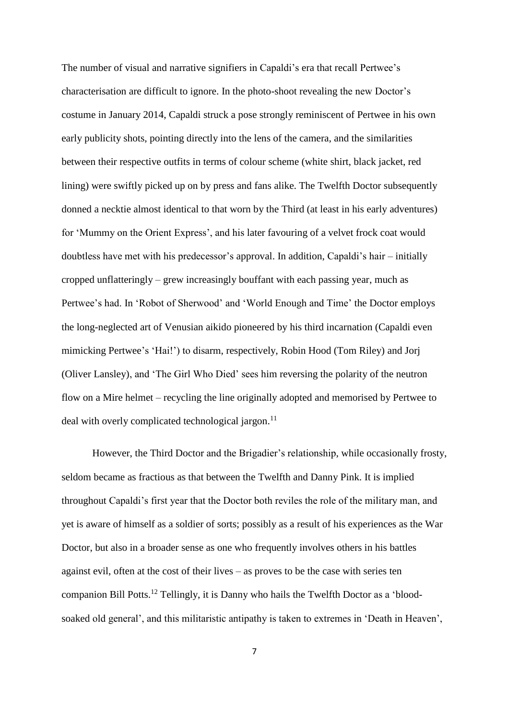The number of visual and narrative signifiers in Capaldi's era that recall Pertwee's characterisation are difficult to ignore. In the photo-shoot revealing the new Doctor's costume in January 2014, Capaldi struck a pose strongly reminiscent of Pertwee in his own early publicity shots, pointing directly into the lens of the camera, and the similarities between their respective outfits in terms of colour scheme (white shirt, black jacket, red lining) were swiftly picked up on by press and fans alike. The Twelfth Doctor subsequently donned a necktie almost identical to that worn by the Third (at least in his early adventures) for 'Mummy on the Orient Express', and his later favouring of a velvet frock coat would doubtless have met with his predecessor's approval. In addition, Capaldi's hair – initially cropped unflatteringly – grew increasingly bouffant with each passing year, much as Pertwee's had. In 'Robot of Sherwood' and 'World Enough and Time' the Doctor employs the long-neglected art of Venusian aikido pioneered by his third incarnation (Capaldi even mimicking Pertwee's 'Hai!') to disarm, respectively, Robin Hood (Tom Riley) and Jorj (Oliver Lansley), and 'The Girl Who Died' sees him reversing the polarity of the neutron flow on a Mire helmet – recycling the line originally adopted and memorised by Pertwee to deal with overly complicated technological jargon.<sup>11</sup>

However, the Third Doctor and the Brigadier's relationship, while occasionally frosty, seldom became as fractious as that between the Twelfth and Danny Pink. It is implied throughout Capaldi's first year that the Doctor both reviles the role of the military man, and yet is aware of himself as a soldier of sorts; possibly as a result of his experiences as the War Doctor, but also in a broader sense as one who frequently involves others in his battles against evil, often at the cost of their lives – as proves to be the case with series ten companion Bill Potts.<sup>12</sup> Tellingly, it is Danny who hails the Twelfth Doctor as a 'bloodsoaked old general', and this militaristic antipathy is taken to extremes in 'Death in Heaven',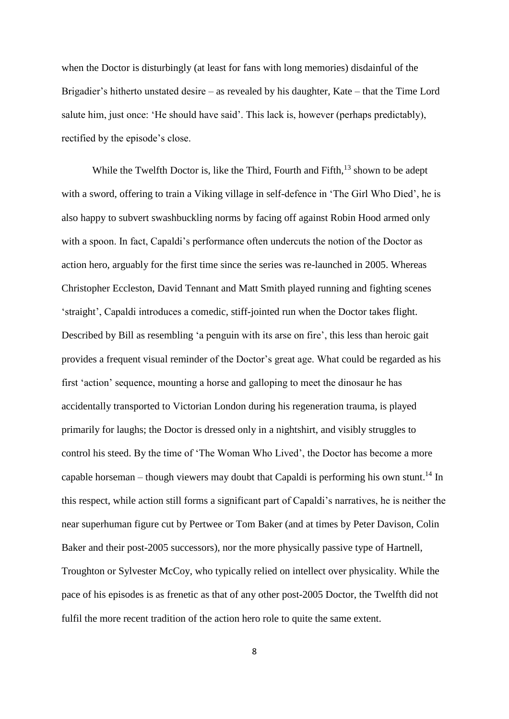when the Doctor is disturbingly (at least for fans with long memories) disdainful of the Brigadier's hitherto unstated desire – as revealed by his daughter, Kate – that the Time Lord salute him, just once: 'He should have said'. This lack is, however (perhaps predictably), rectified by the episode's close.

While the Twelfth Doctor is, like the Third, Fourth and Fifth,<sup>13</sup> shown to be adept with a sword, offering to train a Viking village in self-defence in 'The Girl Who Died', he is also happy to subvert swashbuckling norms by facing off against Robin Hood armed only with a spoon. In fact, Capaldi's performance often undercuts the notion of the Doctor as action hero, arguably for the first time since the series was re-launched in 2005. Whereas Christopher Eccleston, David Tennant and Matt Smith played running and fighting scenes 'straight', Capaldi introduces a comedic, stiff-jointed run when the Doctor takes flight. Described by Bill as resembling 'a penguin with its arse on fire', this less than heroic gait provides a frequent visual reminder of the Doctor's great age. What could be regarded as his first 'action' sequence, mounting a horse and galloping to meet the dinosaur he has accidentally transported to Victorian London during his regeneration trauma, is played primarily for laughs; the Doctor is dressed only in a nightshirt, and visibly struggles to control his steed. By the time of 'The Woman Who Lived', the Doctor has become a more capable horseman – though viewers may doubt that Capaldi is performing his own stunt.<sup>14</sup> In this respect, while action still forms a significant part of Capaldi's narratives, he is neither the near superhuman figure cut by Pertwee or Tom Baker (and at times by Peter Davison, Colin Baker and their post-2005 successors), nor the more physically passive type of Hartnell, Troughton or Sylvester McCoy, who typically relied on intellect over physicality. While the pace of his episodes is as frenetic as that of any other post-2005 Doctor, the Twelfth did not fulfil the more recent tradition of the action hero role to quite the same extent.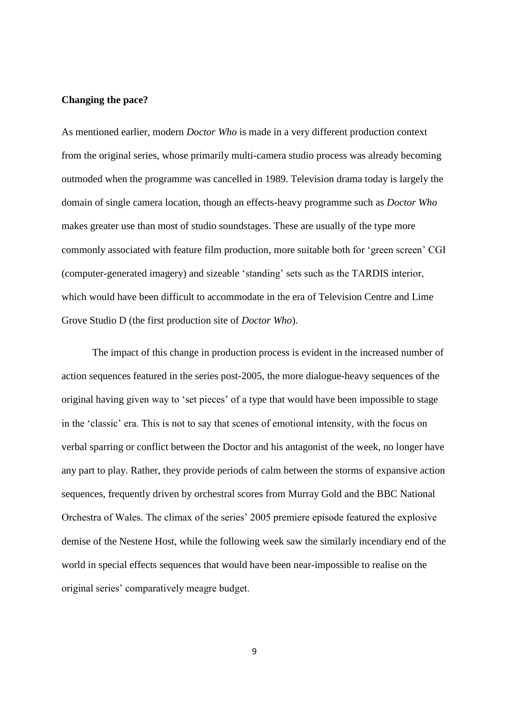#### **Changing the pace?**

As mentioned earlier, modern *Doctor Who* is made in a very different production context from the original series, whose primarily multi-camera studio process was already becoming outmoded when the programme was cancelled in 1989. Television drama today is largely the domain of single camera location, though an effects-heavy programme such as *Doctor Who* makes greater use than most of studio soundstages. These are usually of the type more commonly associated with feature film production, more suitable both for 'green screen' CGI (computer-generated imagery) and sizeable 'standing' sets such as the TARDIS interior, which would have been difficult to accommodate in the era of Television Centre and Lime Grove Studio D (the first production site of *Doctor Who*).

The impact of this change in production process is evident in the increased number of action sequences featured in the series post-2005, the more dialogue-heavy sequences of the original having given way to 'set pieces' of a type that would have been impossible to stage in the 'classic' era. This is not to say that scenes of emotional intensity, with the focus on verbal sparring or conflict between the Doctor and his antagonist of the week, no longer have any part to play. Rather, they provide periods of calm between the storms of expansive action sequences, frequently driven by orchestral scores from Murray Gold and the BBC National Orchestra of Wales. The climax of the series' 2005 premiere episode featured the explosive demise of the Nestene Host, while the following week saw the similarly incendiary end of the world in special effects sequences that would have been near-impossible to realise on the original series' comparatively meagre budget.

9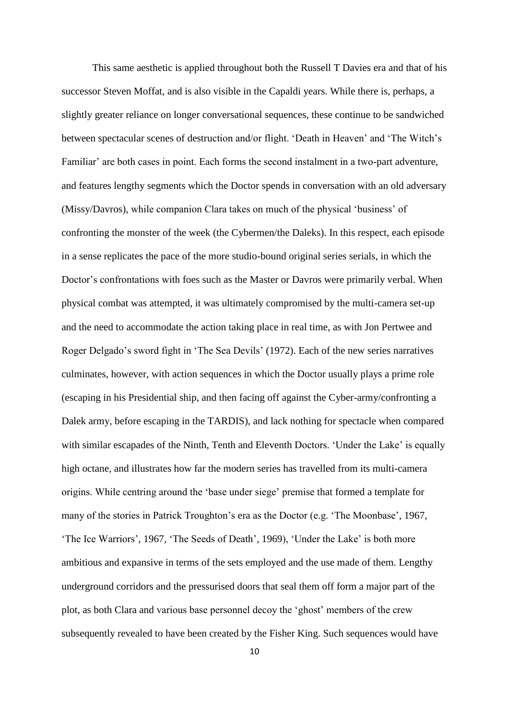This same aesthetic is applied throughout both the Russell T Davies era and that of his successor Steven Moffat, and is also visible in the Capaldi years. While there is, perhaps, a slightly greater reliance on longer conversational sequences, these continue to be sandwiched between spectacular scenes of destruction and/or flight. 'Death in Heaven' and 'The Witch's Familiar' are both cases in point. Each forms the second instalment in a two-part adventure, and features lengthy segments which the Doctor spends in conversation with an old adversary (Missy/Davros), while companion Clara takes on much of the physical 'business' of confronting the monster of the week (the Cybermen/the Daleks). In this respect, each episode in a sense replicates the pace of the more studio-bound original series serials, in which the Doctor's confrontations with foes such as the Master or Davros were primarily verbal. When physical combat was attempted, it was ultimately compromised by the multi-camera set-up and the need to accommodate the action taking place in real time, as with Jon Pertwee and Roger Delgado's sword fight in 'The Sea Devils' (1972). Each of the new series narratives culminates, however, with action sequences in which the Doctor usually plays a prime role (escaping in his Presidential ship, and then facing off against the Cyber-army/confronting a Dalek army, before escaping in the TARDIS), and lack nothing for spectacle when compared with similar escapades of the Ninth, Tenth and Eleventh Doctors. 'Under the Lake' is equally high octane, and illustrates how far the modern series has travelled from its multi-camera origins. While centring around the 'base under siege' premise that formed a template for many of the stories in Patrick Troughton's era as the Doctor (e.g. 'The Moonbase', 1967, 'The Ice Warriors', 1967, 'The Seeds of Death', 1969), 'Under the Lake' is both more ambitious and expansive in terms of the sets employed and the use made of them. Lengthy underground corridors and the pressurised doors that seal them off form a major part of the plot, as both Clara and various base personnel decoy the 'ghost' members of the crew subsequently revealed to have been created by the Fisher King. Such sequences would have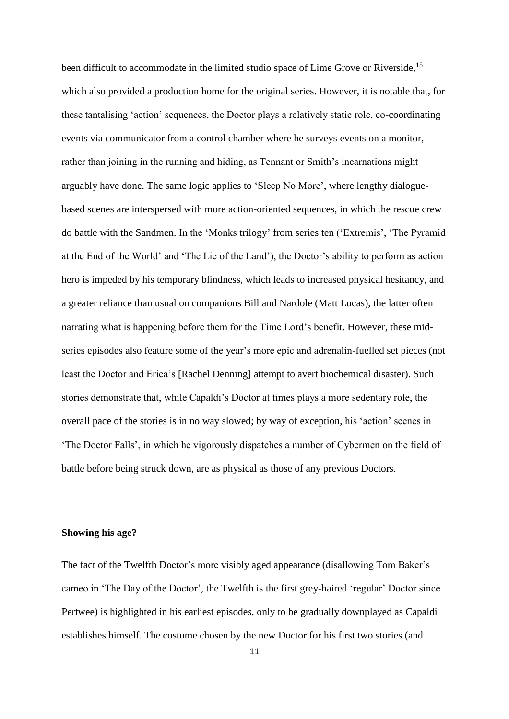been difficult to accommodate in the limited studio space of Lime Grove or Riverside,<sup>15</sup> which also provided a production home for the original series. However, it is notable that, for these tantalising 'action' sequences, the Doctor plays a relatively static role, co-coordinating events via communicator from a control chamber where he surveys events on a monitor, rather than joining in the running and hiding, as Tennant or Smith's incarnations might arguably have done. The same logic applies to 'Sleep No More', where lengthy dialoguebased scenes are interspersed with more action-oriented sequences, in which the rescue crew do battle with the Sandmen. In the 'Monks trilogy' from series ten ('Extremis', 'The Pyramid at the End of the World' and 'The Lie of the Land'), the Doctor's ability to perform as action hero is impeded by his temporary blindness, which leads to increased physical hesitancy, and a greater reliance than usual on companions Bill and Nardole (Matt Lucas), the latter often narrating what is happening before them for the Time Lord's benefit. However, these midseries episodes also feature some of the year's more epic and adrenalin-fuelled set pieces (not least the Doctor and Erica's [Rachel Denning] attempt to avert biochemical disaster). Such stories demonstrate that, while Capaldi's Doctor at times plays a more sedentary role, the overall pace of the stories is in no way slowed; by way of exception, his 'action' scenes in 'The Doctor Falls', in which he vigorously dispatches a number of Cybermen on the field of battle before being struck down, are as physical as those of any previous Doctors.

#### **Showing his age?**

The fact of the Twelfth Doctor's more visibly aged appearance (disallowing Tom Baker's cameo in 'The Day of the Doctor', the Twelfth is the first grey-haired 'regular' Doctor since Pertwee) is highlighted in his earliest episodes, only to be gradually downplayed as Capaldi establishes himself. The costume chosen by the new Doctor for his first two stories (and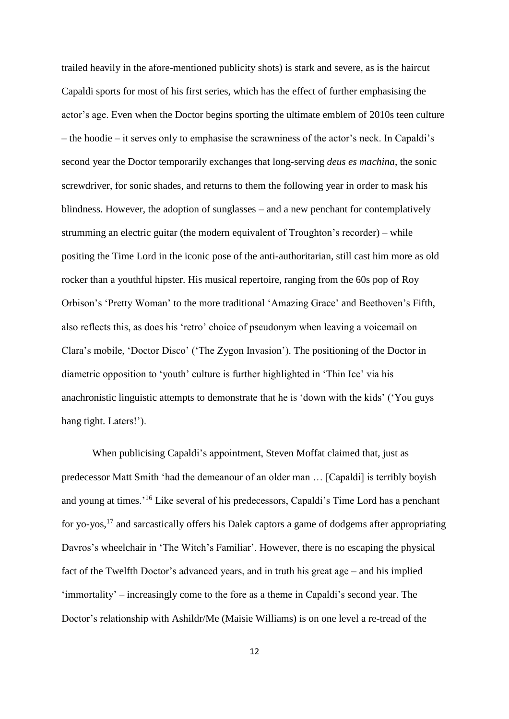trailed heavily in the afore-mentioned publicity shots) is stark and severe, as is the haircut Capaldi sports for most of his first series, which has the effect of further emphasising the actor's age. Even when the Doctor begins sporting the ultimate emblem of 2010s teen culture – the hoodie – it serves only to emphasise the scrawniness of the actor's neck. In Capaldi's second year the Doctor temporarily exchanges that long-serving *deus es machina*, the sonic screwdriver, for sonic shades, and returns to them the following year in order to mask his blindness. However, the adoption of sunglasses – and a new penchant for contemplatively strumming an electric guitar (the modern equivalent of Troughton's recorder) – while positing the Time Lord in the iconic pose of the anti-authoritarian, still cast him more as old rocker than a youthful hipster. His musical repertoire, ranging from the 60s pop of Roy Orbison's 'Pretty Woman' to the more traditional 'Amazing Grace' and Beethoven's Fifth, also reflects this, as does his 'retro' choice of pseudonym when leaving a voicemail on Clara's mobile, 'Doctor Disco' ('The Zygon Invasion'). The positioning of the Doctor in diametric opposition to 'youth' culture is further highlighted in 'Thin Ice' via his anachronistic linguistic attempts to demonstrate that he is 'down with the kids' ('You guys hang tight. Laters!').

When publicising Capaldi's appointment, Steven Moffat claimed that, just as predecessor Matt Smith 'had the demeanour of an older man … [Capaldi] is terribly boyish and young at times.<sup>'16</sup> Like several of his predecessors, Capaldi's Time Lord has a penchant for yo-yos,<sup>17</sup> and sarcastically offers his Dalek captors a game of dodgems after appropriating Davros's wheelchair in 'The Witch's Familiar'. However, there is no escaping the physical fact of the Twelfth Doctor's advanced years, and in truth his great age – and his implied 'immortality' – increasingly come to the fore as a theme in Capaldi's second year. The Doctor's relationship with Ashildr/Me (Maisie Williams) is on one level a re-tread of the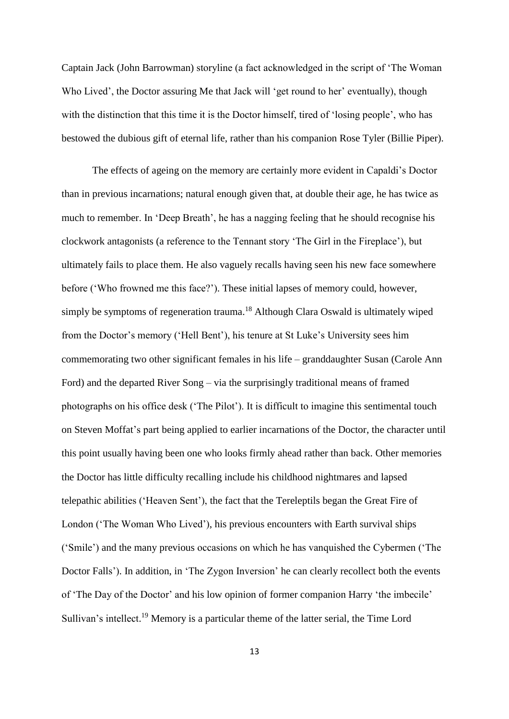Captain Jack (John Barrowman) storyline (a fact acknowledged in the script of 'The Woman Who Lived', the Doctor assuring Me that Jack will 'get round to her' eventually), though with the distinction that this time it is the Doctor himself, tired of 'losing people', who has bestowed the dubious gift of eternal life, rather than his companion Rose Tyler (Billie Piper).

The effects of ageing on the memory are certainly more evident in Capaldi's Doctor than in previous incarnations; natural enough given that, at double their age, he has twice as much to remember. In 'Deep Breath', he has a nagging feeling that he should recognise his clockwork antagonists (a reference to the Tennant story 'The Girl in the Fireplace'), but ultimately fails to place them. He also vaguely recalls having seen his new face somewhere before ('Who frowned me this face?'). These initial lapses of memory could, however, simply be symptoms of regeneration trauma. <sup>18</sup> Although Clara Oswald is ultimately wiped from the Doctor's memory ('Hell Bent'), his tenure at St Luke's University sees him commemorating two other significant females in his life – granddaughter Susan (Carole Ann Ford) and the departed River Song – via the surprisingly traditional means of framed photographs on his office desk ('The Pilot'). It is difficult to imagine this sentimental touch on Steven Moffat's part being applied to earlier incarnations of the Doctor, the character until this point usually having been one who looks firmly ahead rather than back. Other memories the Doctor has little difficulty recalling include his childhood nightmares and lapsed telepathic abilities ('Heaven Sent'), the fact that the Tereleptils began the Great Fire of London ('The Woman Who Lived'), his previous encounters with Earth survival ships ('Smile') and the many previous occasions on which he has vanquished the Cybermen ('The Doctor Falls'). In addition, in 'The Zygon Inversion' he can clearly recollect both the events of 'The Day of the Doctor' and his low opinion of former companion Harry 'the imbecile' Sullivan's intellect.<sup>19</sup> Memory is a particular theme of the latter serial, the Time Lord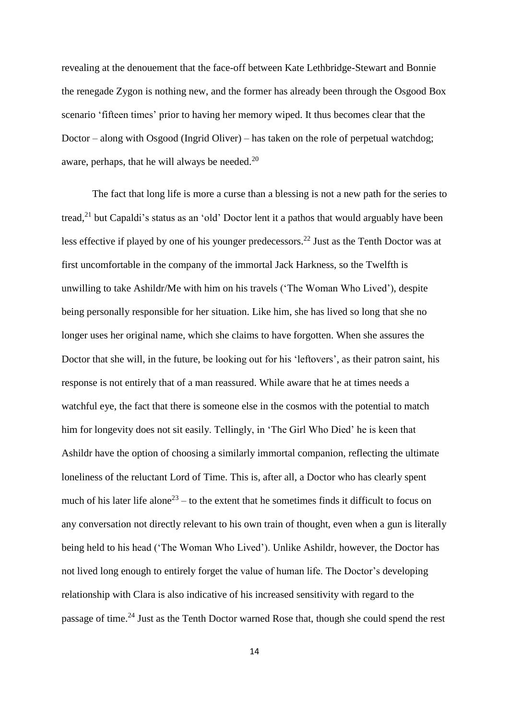revealing at the denouement that the face-off between Kate Lethbridge-Stewart and Bonnie the renegade Zygon is nothing new, and the former has already been through the Osgood Box scenario 'fifteen times' prior to having her memory wiped. It thus becomes clear that the Doctor – along with Osgood (Ingrid Oliver) – has taken on the role of perpetual watchdog; aware, perhaps, that he will always be needed.<sup>20</sup>

The fact that long life is more a curse than a blessing is not a new path for the series to tread,<sup>21</sup> but Capaldi's status as an 'old' Doctor lent it a pathos that would arguably have been less effective if played by one of his younger predecessors.<sup>22</sup> Just as the Tenth Doctor was at first uncomfortable in the company of the immortal Jack Harkness, so the Twelfth is unwilling to take Ashildr/Me with him on his travels ('The Woman Who Lived'), despite being personally responsible for her situation. Like him, she has lived so long that she no longer uses her original name, which she claims to have forgotten. When she assures the Doctor that she will, in the future, be looking out for his 'leftovers', as their patron saint, his response is not entirely that of a man reassured. While aware that he at times needs a watchful eye, the fact that there is someone else in the cosmos with the potential to match him for longevity does not sit easily. Tellingly, in 'The Girl Who Died' he is keen that Ashildr have the option of choosing a similarly immortal companion, reflecting the ultimate loneliness of the reluctant Lord of Time. This is, after all, a Doctor who has clearly spent much of his later life alone<sup>23</sup> – to the extent that he sometimes finds it difficult to focus on any conversation not directly relevant to his own train of thought, even when a gun is literally being held to his head ('The Woman Who Lived'). Unlike Ashildr, however, the Doctor has not lived long enough to entirely forget the value of human life. The Doctor's developing relationship with Clara is also indicative of his increased sensitivity with regard to the passage of time.<sup>24</sup> Just as the Tenth Doctor warned Rose that, though she could spend the rest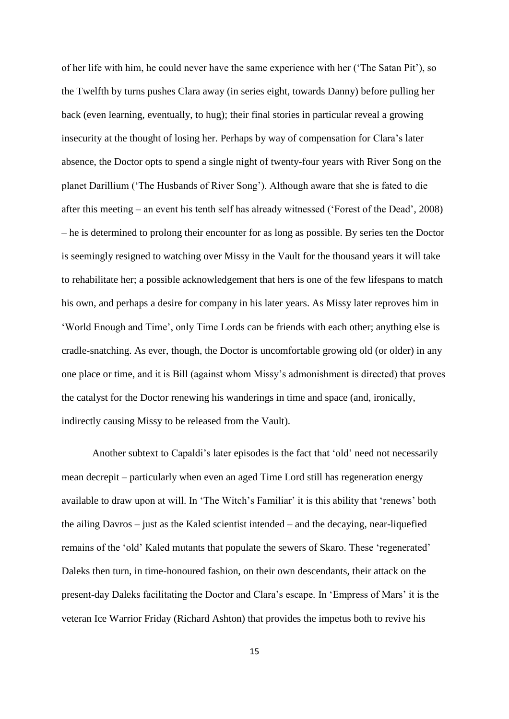of her life with him, he could never have the same experience with her ('The Satan Pit'), so the Twelfth by turns pushes Clara away (in series eight, towards Danny) before pulling her back (even learning, eventually, to hug); their final stories in particular reveal a growing insecurity at the thought of losing her. Perhaps by way of compensation for Clara's later absence, the Doctor opts to spend a single night of twenty-four years with River Song on the planet Darillium ('The Husbands of River Song'). Although aware that she is fated to die after this meeting – an event his tenth self has already witnessed ('Forest of the Dead', 2008) – he is determined to prolong their encounter for as long as possible. By series ten the Doctor is seemingly resigned to watching over Missy in the Vault for the thousand years it will take to rehabilitate her; a possible acknowledgement that hers is one of the few lifespans to match his own, and perhaps a desire for company in his later years. As Missy later reproves him in 'World Enough and Time', only Time Lords can be friends with each other; anything else is cradle-snatching. As ever, though, the Doctor is uncomfortable growing old (or older) in any one place or time, and it is Bill (against whom Missy's admonishment is directed) that proves the catalyst for the Doctor renewing his wanderings in time and space (and, ironically, indirectly causing Missy to be released from the Vault).

Another subtext to Capaldi's later episodes is the fact that 'old' need not necessarily mean decrepit – particularly when even an aged Time Lord still has regeneration energy available to draw upon at will. In 'The Witch's Familiar' it is this ability that 'renews' both the ailing Davros – just as the Kaled scientist intended – and the decaying, near-liquefied remains of the 'old' Kaled mutants that populate the sewers of Skaro. These 'regenerated' Daleks then turn, in time-honoured fashion, on their own descendants, their attack on the present-day Daleks facilitating the Doctor and Clara's escape. In 'Empress of Mars' it is the veteran Ice Warrior Friday (Richard Ashton) that provides the impetus both to revive his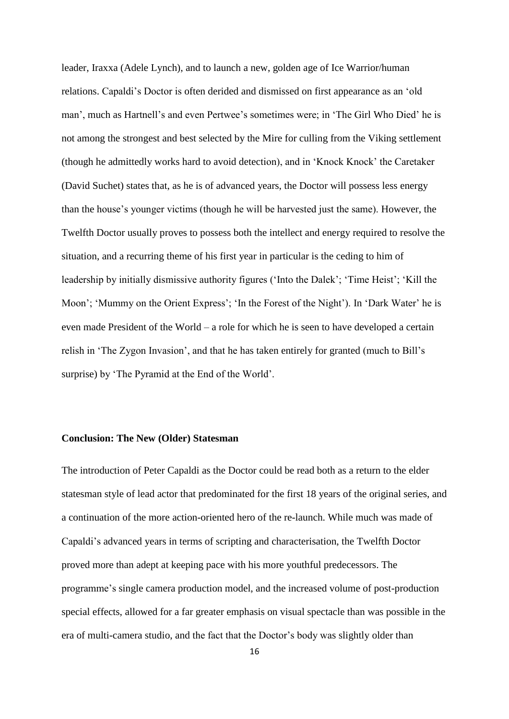leader, Iraxxa (Adele Lynch), and to launch a new, golden age of Ice Warrior/human relations. Capaldi's Doctor is often derided and dismissed on first appearance as an 'old man', much as Hartnell's and even Pertwee's sometimes were; in 'The Girl Who Died' he is not among the strongest and best selected by the Mire for culling from the Viking settlement (though he admittedly works hard to avoid detection), and in 'Knock Knock' the Caretaker (David Suchet) states that, as he is of advanced years, the Doctor will possess less energy than the house's younger victims (though he will be harvested just the same). However, the Twelfth Doctor usually proves to possess both the intellect and energy required to resolve the situation, and a recurring theme of his first year in particular is the ceding to him of leadership by initially dismissive authority figures ('Into the Dalek'; 'Time Heist'; 'Kill the Moon'; 'Mummy on the Orient Express'; 'In the Forest of the Night'). In 'Dark Water' he is even made President of the World – a role for which he is seen to have developed a certain relish in 'The Zygon Invasion', and that he has taken entirely for granted (much to Bill's surprise) by 'The Pyramid at the End of the World'.

#### **Conclusion: The New (Older) Statesman**

The introduction of Peter Capaldi as the Doctor could be read both as a return to the elder statesman style of lead actor that predominated for the first 18 years of the original series, and a continuation of the more action-oriented hero of the re-launch. While much was made of Capaldi's advanced years in terms of scripting and characterisation, the Twelfth Doctor proved more than adept at keeping pace with his more youthful predecessors. The programme's single camera production model, and the increased volume of post-production special effects, allowed for a far greater emphasis on visual spectacle than was possible in the era of multi-camera studio, and the fact that the Doctor's body was slightly older than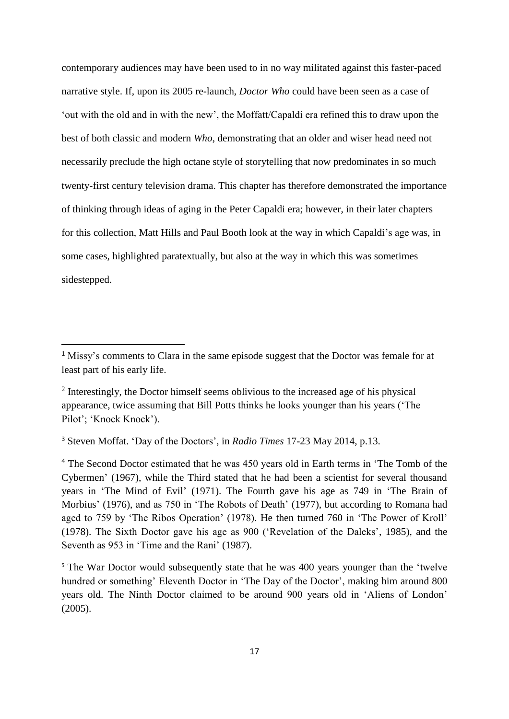contemporary audiences may have been used to in no way militated against this faster-paced narrative style. If, upon its 2005 re-launch, *Doctor Who* could have been seen as a case of 'out with the old and in with the new', the Moffatt/Capaldi era refined this to draw upon the best of both classic and modern *Who*, demonstrating that an older and wiser head need not necessarily preclude the high octane style of storytelling that now predominates in so much twenty-first century television drama. This chapter has therefore demonstrated the importance of thinking through ideas of aging in the Peter Capaldi era; however, in their later chapters for this collection, Matt Hills and Paul Booth look at the way in which Capaldi's age was, in some cases, highlighted paratextually, but also at the way in which this was sometimes sidestepped.

<sup>3</sup> Steven Moffat. 'Day of the Doctors', in *Radio Times* 17-23 May 2014, p.13.

**.** 

<sup>4</sup> The Second Doctor estimated that he was 450 years old in Earth terms in 'The Tomb of the Cybermen' (1967), while the Third stated that he had been a scientist for several thousand years in 'The Mind of Evil' (1971). The Fourth gave his age as 749 in 'The Brain of Morbius' (1976), and as 750 in 'The Robots of Death' (1977), but according to Romana had aged to 759 by 'The Ribos Operation' (1978). He then turned 760 in 'The Power of Kroll' (1978). The Sixth Doctor gave his age as 900 ('Revelation of the Daleks', 1985), and the Seventh as 953 in 'Time and the Rani' (1987).

<sup>&</sup>lt;sup>1</sup> Missy's comments to Clara in the same episode suggest that the Doctor was female for at least part of his early life.

 $2$  Interestingly, the Doctor himself seems oblivious to the increased age of his physical appearance, twice assuming that Bill Potts thinks he looks younger than his years ('The Pilot'; 'Knock Knock').

<sup>&</sup>lt;sup>5</sup> The War Doctor would subsequently state that he was 400 years younger than the 'twelve hundred or something' Eleventh Doctor in 'The Day of the Doctor', making him around 800 years old. The Ninth Doctor claimed to be around 900 years old in 'Aliens of London' (2005).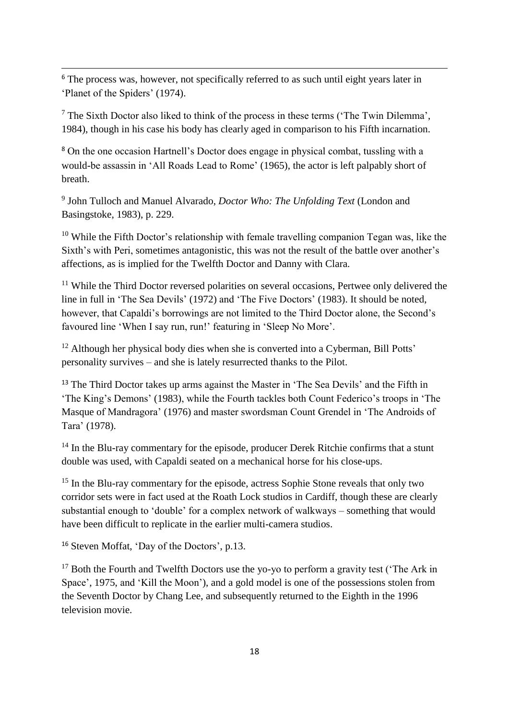<sup>6</sup> The process was, however, not specifically referred to as such until eight years later in 'Planet of the Spiders' (1974).

**.** 

 $<sup>7</sup>$  The Sixth Doctor also liked to think of the process in these terms ('The Twin Dilemma',</sup> 1984), though in his case his body has clearly aged in comparison to his Fifth incarnation.

<sup>8</sup> On the one occasion Hartnell's Doctor does engage in physical combat, tussling with a would-be assassin in 'All Roads Lead to Rome' (1965), the actor is left palpably short of breath.

9 John Tulloch and Manuel Alvarado, *Doctor Who: The Unfolding Text* (London and Basingstoke, 1983), p. 229.

 $10$  While the Fifth Doctor's relationship with female travelling companion Tegan was, like the Sixth's with Peri, sometimes antagonistic, this was not the result of the battle over another's affections, as is implied for the Twelfth Doctor and Danny with Clara.

 $11$  While the Third Doctor reversed polarities on several occasions, Pertwee only delivered the line in full in 'The Sea Devils' (1972) and 'The Five Doctors' (1983). It should be noted, however, that Capaldi's borrowings are not limited to the Third Doctor alone, the Second's favoured line 'When I say run, run!' featuring in 'Sleep No More'.

<sup>12</sup> Although her physical body dies when she is converted into a Cyberman, Bill Potts' personality survives – and she is lately resurrected thanks to the Pilot.

<sup>13</sup> The Third Doctor takes up arms against the Master in 'The Sea Devils' and the Fifth in 'The King's Demons' (1983), while the Fourth tackles both Count Federico's troops in 'The Masque of Mandragora' (1976) and master swordsman Count Grendel in 'The Androids of Tara' (1978).

<sup>14</sup> In the Blu-ray commentary for the episode, producer Derek Ritchie confirms that a stunt double was used, with Capaldi seated on a mechanical horse for his close-ups.

<sup>15</sup> In the Blu-ray commentary for the episode, actress Sophie Stone reveals that only two corridor sets were in fact used at the Roath Lock studios in Cardiff, though these are clearly substantial enough to 'double' for a complex network of walkways – something that would have been difficult to replicate in the earlier multi-camera studios.

<sup>16</sup> Steven Moffat, 'Day of the Doctors', p.13.

 $17$  Both the Fourth and Twelfth Doctors use the yo-yo to perform a gravity test ('The Ark in Space', 1975, and 'Kill the Moon'), and a gold model is one of the possessions stolen from the Seventh Doctor by Chang Lee, and subsequently returned to the Eighth in the 1996 television movie.